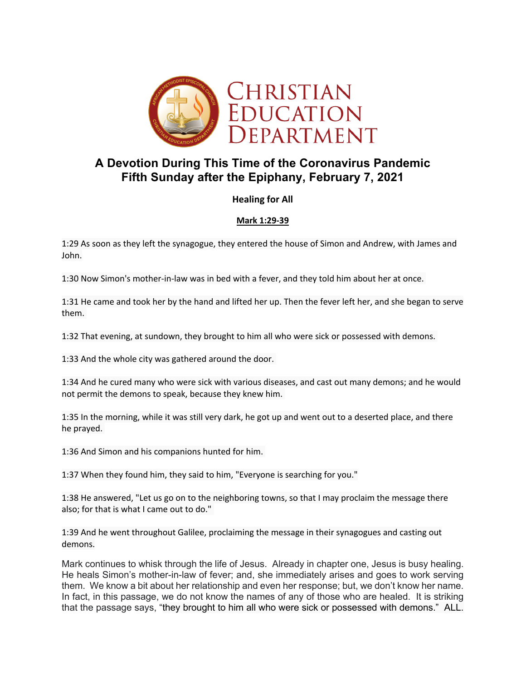

# **A Devotion During This Time of the Coronavirus Pandemic Fifth Sunday after the Epiphany, February 7, 2021**

## **Healing for All**

### **Mark 1:29-39**

1:29 As soon as they left the synagogue, they entered the house of Simon and Andrew, with James and John.

1:30 Now Simon's mother-in-law was in bed with a fever, and they told him about her at once.

1:31 He came and took her by the hand and lifted her up. Then the fever left her, and she began to serve them.

1:32 That evening, at sundown, they brought to him all who were sick or possessed with demons.

1:33 And the whole city was gathered around the door.

1:34 And he cured many who were sick with various diseases, and cast out many demons; and he would not permit the demons to speak, because they knew him.

1:35 In the morning, while it was still very dark, he got up and went out to a deserted place, and there he prayed.

1:36 And Simon and his companions hunted for him.

1:37 When they found him, they said to him, "Everyone is searching for you."

1:38 He answered, "Let us go on to the neighboring towns, so that I may proclaim the message there also; for that is what I came out to do."

1:39 And he went throughout Galilee, proclaiming the message in their synagogues and casting out demons.

Mark continues to whisk through the life of Jesus. Already in chapter one, Jesus is busy healing. He heals Simon's mother-in-law of fever; and, she immediately arises and goes to work serving them. We know a bit about her relationship and even her response; but, we don't know her name. In fact, in this passage, we do not know the names of any of those who are healed. It is striking that the passage says, "they brought to him all who were sick or possessed with demons." ALL.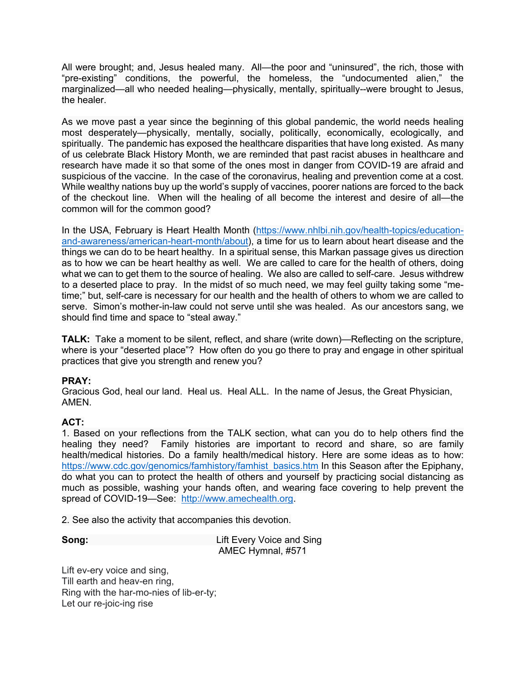All were brought; and, Jesus healed many. All—the poor and "uninsured", the rich, those with "pre-existing" conditions, the powerful, the homeless, the "undocumented alien," the marginalized—all who needed healing—physically, mentally, spiritually--were brought to Jesus, the healer.

As we move past a year since the beginning of this global pandemic, the world needs healing most desperately—physically, mentally, socially, politically, economically, ecologically, and spiritually. The pandemic has exposed the healthcare disparities that have long existed. As many of us celebrate Black History Month, we are reminded that past racist abuses in healthcare and research have made it so that some of the ones most in danger from COVID-19 are afraid and suspicious of the vaccine. In the case of the coronavirus, healing and prevention come at a cost. While wealthy nations buy up the world's supply of vaccines, poorer nations are forced to the back of the checkout line. When will the healing of all become the interest and desire of all—the common will for the common good?

In the USA, February is Heart Health Month (https://www.nhlbi.nih.gov/health-topics/educationand-awareness/american-heart-month/about), a time for us to learn about heart disease and the things we can do to be heart healthy. In a spiritual sense, this Markan passage gives us direction as to how we can be heart healthy as well. We are called to care for the health of others, doing what we can to get them to the source of healing. We also are called to self-care. Jesus withdrew to a deserted place to pray. In the midst of so much need, we may feel guilty taking some "metime;" but, self-care is necessary for our health and the health of others to whom we are called to serve. Simon's mother-in-law could not serve until she was healed. As our ancestors sang, we should find time and space to "steal away."

**TALK:** Take a moment to be silent, reflect, and share (write down)—Reflecting on the scripture, where is your "deserted place"? How often do you go there to pray and engage in other spiritual practices that give you strength and renew you?

### **PRAY:**

Gracious God, heal our land. Heal us. Heal ALL. In the name of Jesus, the Great Physician, AMEN.

### **ACT:**

1. Based on your reflections from the TALK section, what can you do to help others find the healing they need? Family histories are important to record and share, so are family health/medical histories. Do a family health/medical history. Here are some ideas as to how: https://www.cdc.gov/genomics/famhistory/famhist\_basics.htm In this Season after the Epiphany, do what you can to protect the health of others and yourself by practicing social distancing as much as possible, washing your hands often, and wearing face covering to help prevent the spread of COVID-19—See: http://www.amechealth.org.

2. See also the activity that accompanies this devotion.

**Song: Lift Every Voice and Sing** AMEC Hymnal, #571

Lift ev-ery voice and sing, Till earth and heav-en ring, Ring with the har-mo-nies of lib-er-ty; Let our re-joic-ing rise